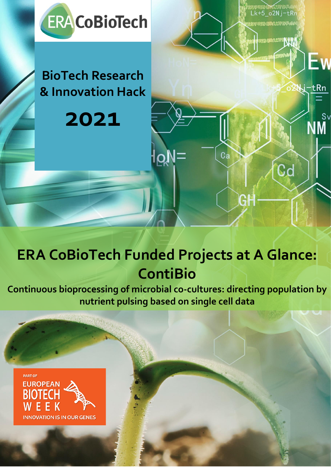

**BioTech Research & Innovation Hack** 

**2021**

# **ERA CoBioTech Funded Projects at A Glance: ContiBio**

 $ca$ 

GH

**RACIONALIA** 

Cd

j-tRn

໌<br>NMຶ

**Continuous bioprocessing of microbial co-cultures: directing population by nutrient pulsing based on single cell data**

1

Horizon 2020 research and innovation programme under grant



agereement No [722361]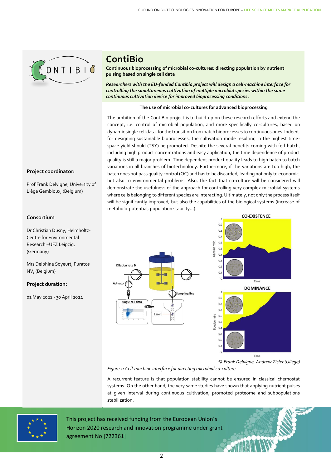

## **ContiBio**

**Continuous bioprocessing of microbial co-cultures: directing population by nutrient pulsing based on single cell data**

*Researchers with the EU-funded Contibio project will design a cell-machine interface for controlling the simultaneous cultivation of multiple microbial species within the same continuous cultivation device for improved bioprocessing conditions.*

#### **The use of microbial co-cultures for advanced bioprocessing**

The ambition of the ContiBio project is to build-up on these research efforts and extend the concept, i.e. control of microbial population, and more specifically co-cultures, based on dynamic single cell data, for the transition from batch bioprocesses to continuous ones. Indeed, for designing sustainable bioprocesses, the cultivation mode resulting in the highest timespace yield should (TSY) be promoted. Despite the several benefits coming with fed-batch, including high product concentrations and easy application, the time dependence of product quality is still a major problem. Time dependent product quality leads to high batch to batch variations in all branches of biotechnology. Furthermore, if the variations are too high, the batch does not pass quality control (QC) and has to be discarded, leading not only to economic, but also to environmental problems. Also, the fact that co-culture will be considered will demonstrate the usefulness of the approach for controlling very complex microbial systems where cells belonging to different species are interacting. Ultimately, not only the process itself will be significantly improved, but also the capabilities of the biological systems (increase of metabolic potential, population stability…).

### **Consortium**

**Project coordinator:**

Prof Frank Delvigne, University of Liège Gembloux, (Belgium)

Dr Christian Dusny, Helmholtz-Centre for Environmental Research –UFZ Leipzig, (Germany)

Mrs Delphine Soyeurt, Puratos NV, (Belgium)

#### **Project duration:**

01 May 2021 - 30 April 2024





*© Frank Delvigne, Andrew Zicler (Uliège) Figure 1: Cell-machine interface for directing microbial co-culture*

A recurrent feature is that population stability cannot be ensured in classical chemostat systems. On the other hand, the very same studies have shown that applying nutrient pulses at given interval during continuous cultivation, promoted proteome and subpopulations stabilization.



This project has received funding from the European Union´s Horizon 2020 research and innovation programme under grant agreement No [722361]